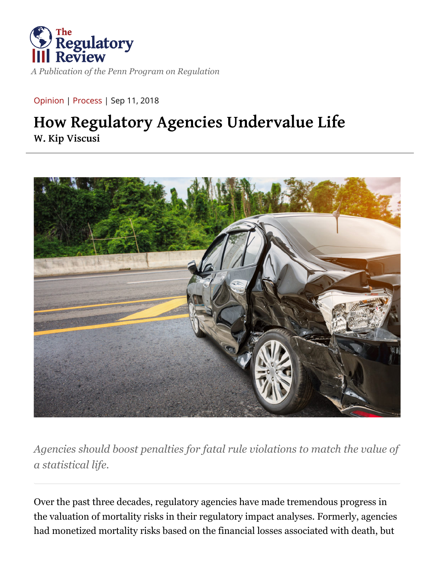

[Opinion](https://www.theregreview.org/article-type/opinion/) | [Process](https://www.theregreview.org/primary/process-primary/) | Sep 11, 2018

## **How Regulatory Agencies Undervalue Life [W. Kip Viscusi](https://www.theregreview.org/author/kviscusi/)**



*Agencies should boost penalties for fatal rule violations to match the value of a statistical life.*

Over the past three decades, regulatory agencies have made tremendous progress in the valuation of mortality risks in their regulatory impact analyses. Formerly, agencies had monetized mortality risks based on the financial losses associated with death, but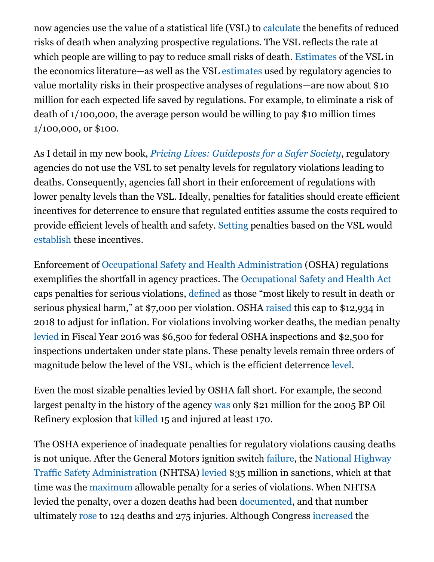now agencies use the value of a statistical life (VSL) to [calculate](https://www.epa.gov/environmental-economics/mortality-risk-valuation) the benefits of reduced risks of death when analyzing prospective regulations. The VSL reflects the rate at which people are willing to pay to reduce small risks of death. [Estimates](https://press.princeton.edu/titles/11272.html) of the VSL in the economics literature—as well as the VSL [estimates](https://www3.epa.gov/ttnecas1/docs/20151001ria.pdf) used by regulatory agencies to value mortality risks in their prospective analyses of regulations—are now about \$10 million for each expected life saved by regulations. For example, to eliminate a risk of death of 1/100,000, the average person would be willing to pay \$10 million times 1/100,000, or \$100.

As I detail in my new book, *[Pricing Lives: Guideposts for a Safer Society](https://press.princeton.edu/titles/11272.html)*, regulatory agencies do not use the VSL to set penalty levels for regulatory violations leading to deaths. Consequently, agencies fall short in their enforcement of regulations with lower penalty levels than the VSL. Ideally, penalties for fatalities should create efficient incentives for deterrence to ensure that regulated entities assume the costs required to provide efficient levels of health and safety. [Setting](https://press.princeton.edu/titles/11272.html) penalties based on the VSL would [establish](http://blog.press.princeton.edu/2018/05/11/w-kip-viscusi-on-pricing-lives-guideposts-for-a-safer-society/) these incentives.

Enforcement of [Occupational Safety and Health Administration](https://www.osha.gov/) (OSHA) regulations exemplifies the shortfall in agency practices. The [Occupational Safety and Health Act](https://www.osha.gov/laws-regs/oshact/completeoshact) caps penalties for serious violations, [defined](https://www.osha.gov/Publications/fedrites.html) as those "most likely to result in death or serious physical harm," at \$7,000 per violation. OSHA [raised](https://www.federalregister.gov/documents/2018/01/02/2017-28224/department-of-labor-federal-civil-penalties-inflation-adjustment-act-annual-adjustments-for-2018) this cap to \$12,934 in 2018 to adjust for inflation. For violations involving worker deaths, the median penalty [levied](https://aflcio.org/reports/death-job-toll-neglect-2017) in Fiscal Year 2016 was \$6,500 for federal OSHA inspections and \$2,500 for inspections undertaken under state plans. These penalty levels remain three orders of magnitude below the level of the VSL, which is the efficient deterrence [level](https://press.princeton.edu/titles/11272.html).

Even the most sizable penalties levied by OSHA fall short. For example, the second largest penalty in the history of the agency [was](https://www.osha.gov/dep/bp/FactSheet-BP-2012-Agreement.html) only \$21 million for the 2005 BP Oil Refinery explosion that [killed](https://www.cbsnews.com/news/the-explosion-at-texas-city/) 15 and injured at least 170.

The OSHA experience of inadequate penalties for regulatory violations causing deaths [is not unique. After the General Motors ignition switch](https://www.nhtsa.gov/) [failur](https://www.consumersafety.org/safety/gm-ignition-switches/)[e, the National Highway](https://www.nhtsa.gov/) Traffic Safety Administration (NHTSA) [levied](https://www.theguardian.com/business/2014/may/16/gm-car-recall-faulty-ignition-department-of-transport-agreement) \$35 million in sanctions, which at that time was the [maximum](https://www.gpo.gov/fdsys/pkg/USCODE-2013-title49/pdf/USCODE-2013-title49-subtitleVI-partA-chap301-subchapIV-sec30165.pdf) allowable penalty for a series of violations. When NHTSA levied the penalty, over a dozen deaths had been [documented](http://www.beasleyallen.com/webfiles/valukas-report-on-gm-redacted.pdf), and that number ultimately [rose](http://fortune.com/2015/08/24/feinberg-gm-faulty-ignition-switch/) to 124 deaths and 275 injuries. Although Congress [increased](http://uscode.house.gov/view.xhtml?req=granuleid:USC-prelim-title49-section30165&num=0&edition=prelim) the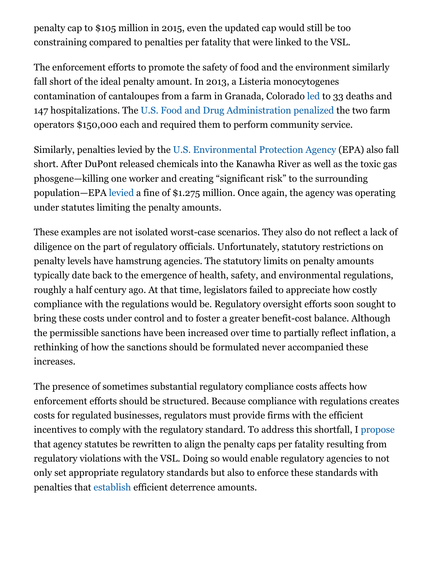penalty cap to \$105 million in 2015, even the updated cap would still be too constraining compared to penalties per fatality that were linked to the VSL.

The enforcement efforts to promote the safety of food and the environment similarly fall short of the ideal penalty amount. In 2013, a Listeria monocytogenes contamination of cantaloupes from a farm in Granada, Colorado [led](https://www.justice.gov/usao-co/pr/eric-and-ryan-jensen-plead-guilty-all-counts-introducing-tainted-cantaloupe-interstate) to 33 deaths and 147 hospitalizations. The [U.S. Food and Drug Administration](https://www.fda.gov/) [penalized](https://www.usatoday.com/story/news/nation/2014/01/28/sentencing-of-colorado-cantaloupe-farmers/4958671/) the two farm operators \$150,000 each and required them to perform community service.

Similarly, penalties levied by the [U.S. Environmental Protection Agency](https://www.epa.gov/) (EPA) also fall short. After DuPont released chemicals into the Kanawha River as well as the toxic gas phosgene—killing one worker and creating "significant risk" to the surrounding population—EPA [levied](https://www.justice.gov/opa/pr/us-settles-dupont-resolve-clean-air-act-violations-and-protect-communities-and-kanawha-river) a fine of \$1.275 million. Once again, the agency was operating under statutes limiting the penalty amounts.

These examples are not isolated worst-case scenarios. They also do not reflect a lack of diligence on the part of regulatory officials. Unfortunately, statutory restrictions on penalty levels have hamstrung agencies. The statutory limits on penalty amounts typically date back to the emergence of health, safety, and environmental regulations, roughly a half century ago. At that time, legislators failed to appreciate how costly compliance with the regulations would be. Regulatory oversight efforts soon sought to bring these costs under control and to foster a greater benefit-cost balance. Although the permissible sanctions have been increased over time to partially reflect inflation, a rethinking of how the sanctions should be formulated never accompanied these increases.

The presence of sometimes substantial regulatory compliance costs affects how enforcement efforts should be structured. Because compliance with regulations creates costs for regulated businesses, regulators must provide firms with the efficient incentives to comply with the regulatory standard. To address this shortfall, I [propose](https://press.princeton.edu/titles/11272.html) that agency statutes be rewritten to align the penalty caps per fatality resulting from regulatory violations with the VSL. Doing so would enable regulatory agencies to not only set appropriate regulatory standards but also to enforce these standards with penalties that [establish](http://blog.press.princeton.edu/2018/05/11/w-kip-viscusi-on-pricing-lives-guideposts-for-a-safer-society/) efficient deterrence amounts.